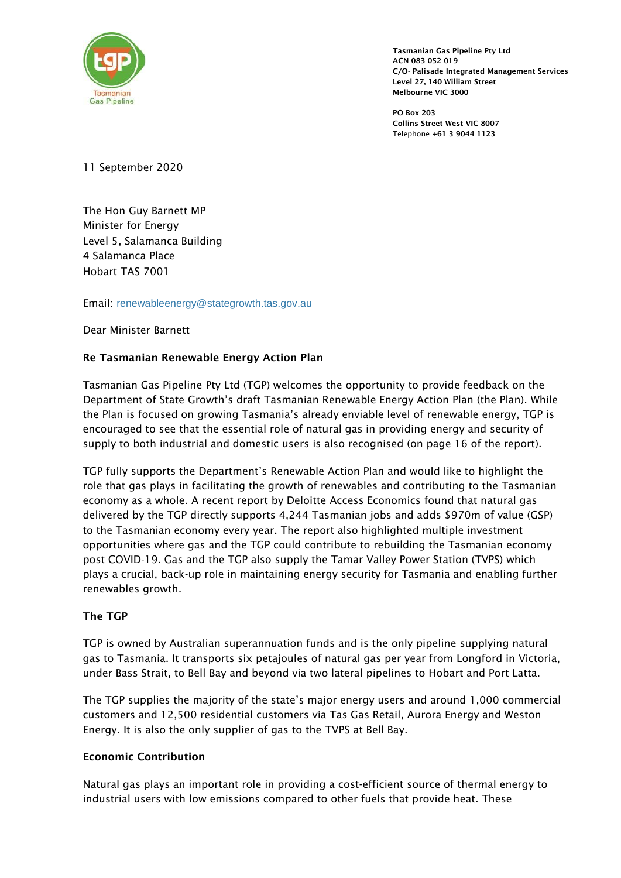

Tasmanian Gas Pipeline Pty Ltd ACN 083 052 019 C/O- Palisade Integrated Management Services Level 27, 140 William Street Melbourne VIC 3000

PO Box 203 Collins Street West VIC 8007 Telephone +61 3 9044 1123

11 September 2020

The Hon Guy Barnett MP Minister for Energy Level 5, Salamanca Building 4 Salamanca Place Hobart TAS 7001

Email: [renewableenergy@stategrowth.tas.gov.au](mailto:renewableenergy@stategrowth.tas.gov.au)

Dear Minister Barnett

### Re Tasmanian Renewable Energy Action Plan

Tasmanian Gas Pipeline Pty Ltd (TGP) welcomes the opportunity to provide feedback on the Department of State Growth's draft Tasmanian Renewable Energy Action Plan (the Plan). While the Plan is focused on growing Tasmania's already enviable level of renewable energy, TGP is encouraged to see that the essential role of natural gas in providing energy and security of supply to both industrial and domestic users is also recognised (on page 16 of the report).

TGP fully supports the Department's Renewable Action Plan and would like to highlight the role that gas plays in facilitating the growth of renewables and contributing to the Tasmanian economy as a whole. A recent report by Deloitte Access Economics found that natural gas delivered by the TGP directly supports 4,244 Tasmanian jobs and adds \$970m of value (GSP) to the Tasmanian economy every year. The report also highlighted multiple investment opportunities where gas and the TGP could contribute to rebuilding the Tasmanian economy post COVID-19. Gas and the TGP also supply the Tamar Valley Power Station (TVPS) which plays a crucial, back-up role in maintaining energy security for Tasmania and enabling further renewables growth.

### The TGP

TGP is owned by Australian superannuation funds and is the only pipeline supplying natural gas to Tasmania. It transports six petajoules of natural gas per year from Longford in Victoria, under Bass Strait, to Bell Bay and beyond via two lateral pipelines to Hobart and Port Latta.

The TGP supplies the majority of the state's major energy users and around 1,000 commercial customers and 12,500 residential customers via Tas Gas Retail, Aurora Energy and Weston Energy. It is also the only supplier of gas to the TVPS at Bell Bay.

### Economic Contribution

Natural gas plays an important role in providing a cost-efficient source of thermal energy to industrial users with low emissions compared to other fuels that provide heat. These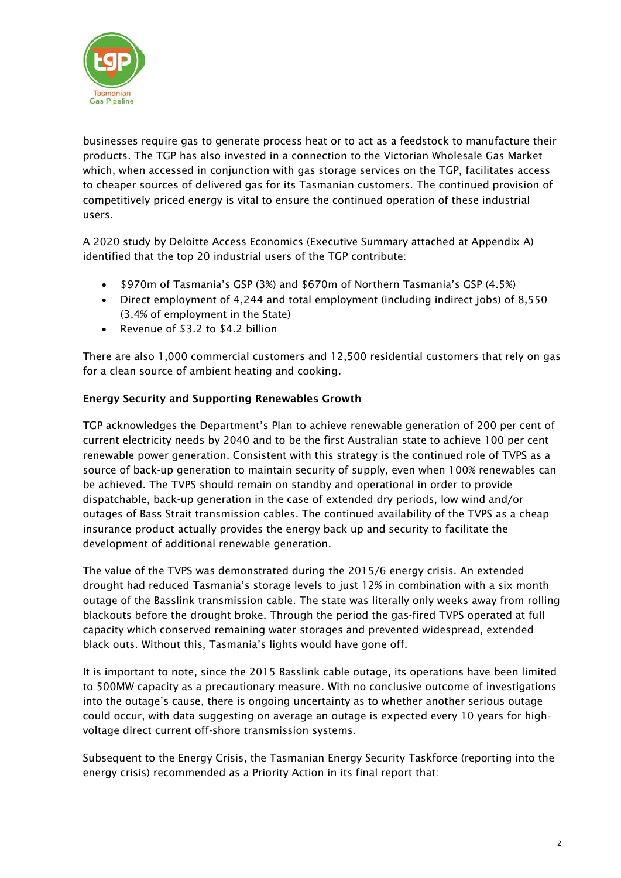

businesses require gas to generate process heat or to act as a feedstock to manufacture their products. The TGP has also invested in a connection to the Victorian Wholesale Gas Market which, when accessed in conjunction with gas storage services on the TGP, facilitates access to cheaper sources of delivered gas for its Tasmanian customers. The continued provision of competitively priced energy is vital to ensure the continued operation of these industrial users.

A 2020 study by Deloitte Access Economics (Executive Summary attached at Appendix A) identified that the top 20 industrial users of the TGP contribute:

- \$970m of Tasmania's GSP (3%) and \$670m of Northern Tasmania's GSP (4.5%)
- Direct employment of 4,244 and total employment (including indirect jobs) of 8,550 (3.4% of employment in the State)
- Revenue of \$3.2 to \$4.2 billion

There are also 1,000 commercial customers and 12,500 residential customers that rely on gas for a clean source of ambient heating and cooking.

### Energy Security and Supporting Renewables Growth

TGP acknowledges the Department's Plan to achieve renewable generation of 200 per cent of current electricity needs by 2040 and to be the first Australian state to achieve 100 per cent renewable power generation. Consistent with this strategy is the continued role of TVPS as a source of back-up generation to maintain security of supply, even when 100% renewables can be achieved. The TVPS should remain on standby and operational in order to provide dispatchable, back-up generation in the case of extended dry periods, low wind and/or outages of Bass Strait transmission cables. The continued availability of the TVPS as a cheap insurance product actually provides the energy back up and security to facilitate the development of additional renewable generation.

The value of the TVPS was demonstrated during the 2015/6 energy crisis. An extended drought had reduced Tasmania's storage levels to just 12% in combination with a six month outage of the Basslink transmission cable. The state was literally only weeks away from rolling blackouts before the drought broke. Through the period the gas-fired TVPS operated at full capacity which conserved remaining water storages and prevented widespread, extended black outs. Without this, Tasmania's lights would have gone off.

It is important to note, since the 2015 Basslink cable outage, its operations have been limited to 500MW capacity as a precautionary measure. With no conclusive outcome of investigations into the outage's cause, there is ongoing uncertainty as to whether another serious outage could occur, with data suggesting on average an outage is expected every 10 years for highvoltage direct current off-shore transmission systems.

Subsequent to the Energy Crisis, the Tasmanian Energy Security Taskforce (reporting into the energy crisis) recommended as a Priority Action in its final report that: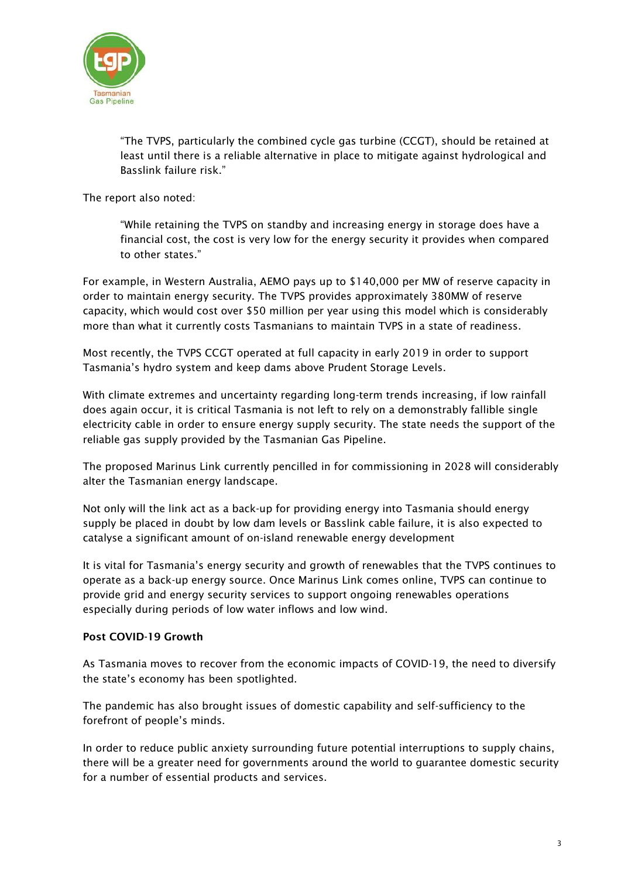

"The TVPS, particularly the combined cycle gas turbine (CCGT), should be retained at least until there is a reliable alternative in place to mitigate against hydrological and Basslink failure risk."

The report also noted:

"While retaining the TVPS on standby and increasing energy in storage does have a financial cost, the cost is very low for the energy security it provides when compared to other states."

For example, in Western Australia, AEMO pays up to \$140,000 per MW of reserve capacity in order to maintain energy security. The TVPS provides approximately 380MW of reserve capacity, which would cost over \$50 million per year using this model which is considerably more than what it currently costs Tasmanians to maintain TVPS in a state of readiness.

Most recently, the TVPS CCGT operated at full capacity in early 2019 in order to support Tasmania's hydro system and keep dams above Prudent Storage Levels.

With climate extremes and uncertainty regarding long-term trends increasing, if low rainfall does again occur, it is critical Tasmania is not left to rely on a demonstrably fallible single electricity cable in order to ensure energy supply security. The state needs the support of the reliable gas supply provided by the Tasmanian Gas Pipeline.

The proposed Marinus Link currently pencilled in for commissioning in 2028 will considerably alter the Tasmanian energy landscape.

Not only will the link act as a back-up for providing energy into Tasmania should energy supply be placed in doubt by low dam levels or Basslink cable failure, it is also expected to catalyse a significant amount of on-island renewable energy development

It is vital for Tasmania's energy security and growth of renewables that the TVPS continues to operate as a back-up energy source. Once Marinus Link comes online, TVPS can continue to provide grid and energy security services to support ongoing renewables operations especially during periods of low water inflows and low wind.

### Post COVID-19 Growth

As Tasmania moves to recover from the economic impacts of COVID-19, the need to diversify the state's economy has been spotlighted.

The pandemic has also brought issues of domestic capability and self-sufficiency to the forefront of people's minds.

In order to reduce public anxiety surrounding future potential interruptions to supply chains, there will be a greater need for governments around the world to guarantee domestic security for a number of essential products and services.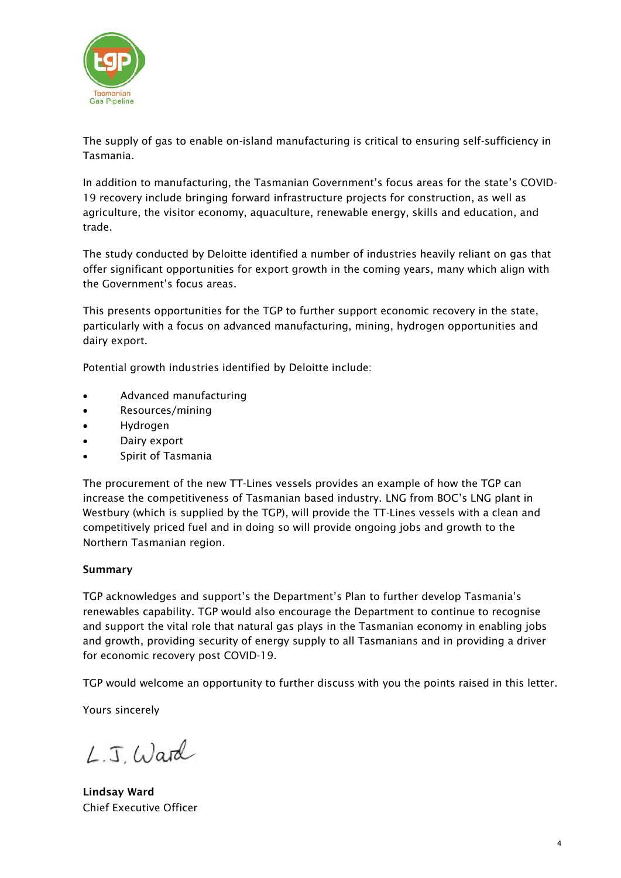

The supply of gas to enable on-island manufacturing is critical to ensuring self-sufficiency in Tasmania.

In addition to manufacturing, the Tasmanian Government's focus areas for the state's COVID-19 recovery include bringing forward infrastructure projects for construction, as well as agriculture, the visitor economy, aquaculture, renewable energy, skills and education, and trade.

The study conducted by Deloitte identified a number of industries heavily reliant on gas that offer significant opportunities for export growth in the coming years, many which align with the Government's focus areas.

This presents opportunities for the TGP to further support economic recovery in the state, particularly with a focus on advanced manufacturing, mining, hydrogen opportunities and dairy export.

Potential growth industries identified by Deloitte include:

- Advanced manufacturing
- Resources/mining
- Hydrogen
- Dairy export
- Spirit of Tasmania

The procurement of the new TT-Lines vessels provides an example of how the TGP can increase the competitiveness of Tasmanian based industry. LNG from BOC's LNG plant in Westbury (which is supplied by the TGP), will provide the TT-Lines vessels with a clean and competitively priced fuel and in doing so will provide ongoing jobs and growth to the Northern Tasmanian region.

### Summary

TGP acknowledges and support's the Department's Plan to further develop Tasmania's renewables capability. TGP would also encourage the Department to continue to recognise and support the vital role that natural gas plays in the Tasmanian economy in enabling jobs and growth, providing security of energy supply to all Tasmanians and in providing a driver for economic recovery post COVID-19.

TGP would welcome an opportunity to further discuss with you the points raised in this letter.

Yours sincerely

L.J. Ward

Lindsay Ward Chief Executive Officer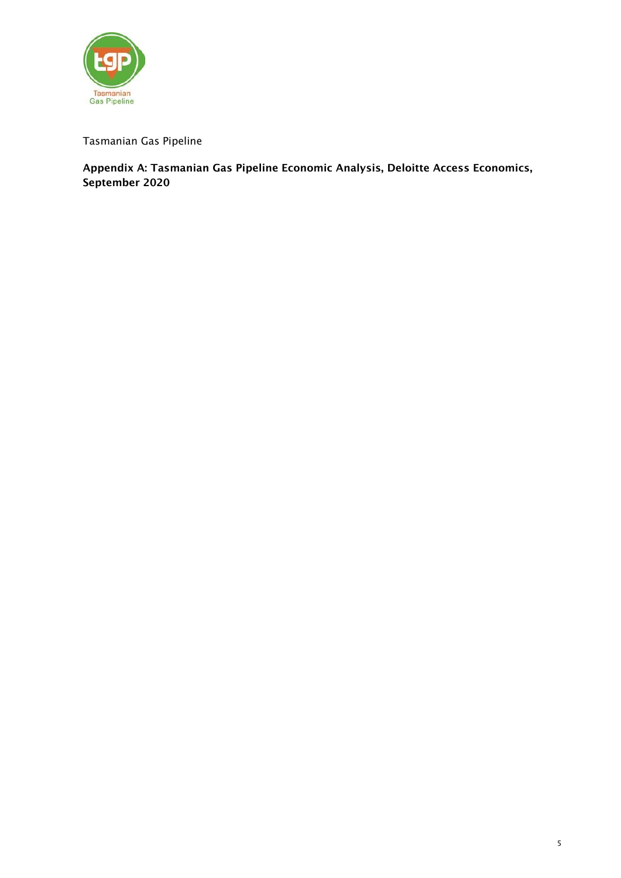

Tasmanian Gas Pipeline

Appendix A: Tasmanian Gas Pipeline Economic Analysis, Deloitte Access Economics, September 2020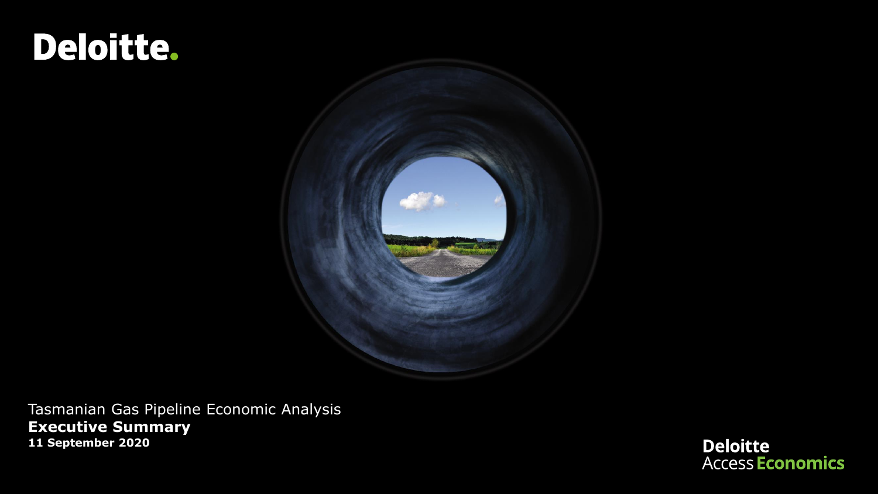# Deloitte.



Tasmanian Gas Pipeline Economic Analysis **Executive Summary 11 September 2020**

**Deloitte Access Economics**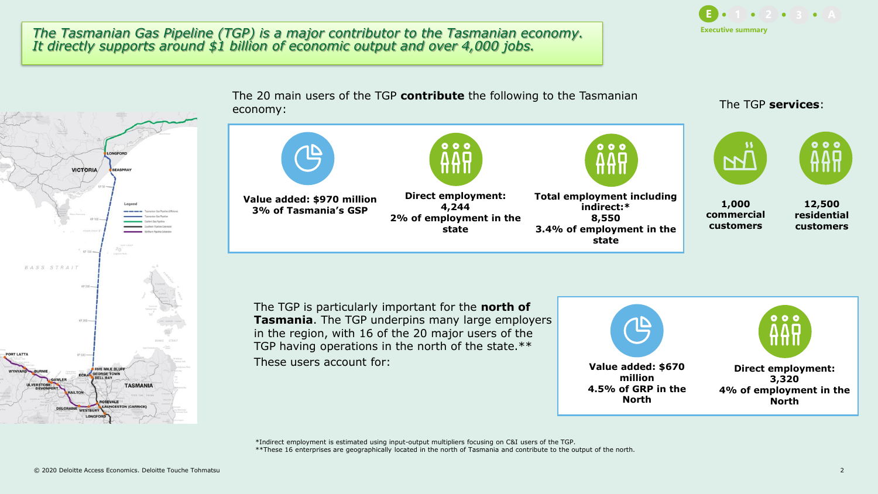*The Tasmanian Gas Pipeline (TGP) is a major contributor to the Tasmanian economy. It directly supports around \$1 billion of economic output and over 4,000 jobs.*





\*Indirect employment is estimated using input-output multipliers focusing on C&I users of the TGP.

\*\*These 16 enterprises are geographically located in the north of Tasmania and contribute to the output of the north.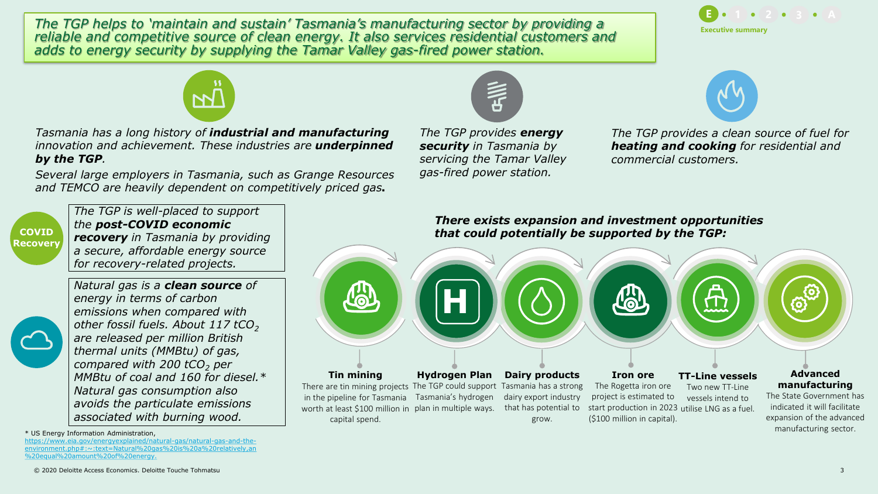*The TGP helps to 'maintain and sustain' Tasmania's manufacturing sector by providing a reliable and competitive source of clean energy. It also services residential customers and adds to energy security by supplying the Tamar Valley gas-fired power station.*



*The TGP provides a clean source of fuel for heating and cooking for residential and* 

*commercial customers.* 



*Tasmania has a long history of industrial and manufacturing innovation and achievement. These industries are underpinned by the TGP.* 

*Several large employers in Tasmania, such as Grange Resources and TEMCO are heavily dependent on competitively priced gas***.** 



*The TGP is well-placed to support the post-COVID economic recovery in Tasmania by providing a secure, affordable energy source for recovery-related projects.* 

*Natural gas is a clean source of* 



*energy in terms of carbon emissions when compared with other fossil fuels. About 117 tCO<sup>2</sup> are released per million British thermal units (MMBtu) of gas, compared with 200 tCO<sup>2</sup> per MMBtu of coal and 160 for diesel.\* Natural gas consumption also avoids the particulate emissions associated with burning wood.* 

# *There exists expansion and investment opportunities that could potentially be supported by the TGP:*

*The TGP provides energy security in Tasmania by servicing the Tamar Valley gas-fired power station.* 



\* US Energy Information Administration,

[https://www.eia.gov/energyexplained/natural-gas/natural-gas-and-the](https://www.eia.gov/energyexplained/natural-gas/natural-gas-and-the-environment.php#:~:text=Natural%20gas%20is%20a%20relatively,an%20equal%20amount%20of%20energy.)ment.php#:~:text=Natural%20gas%20is%20a%20relatively,an %20equal%20amount%20of%20energy.



manufacturing sector.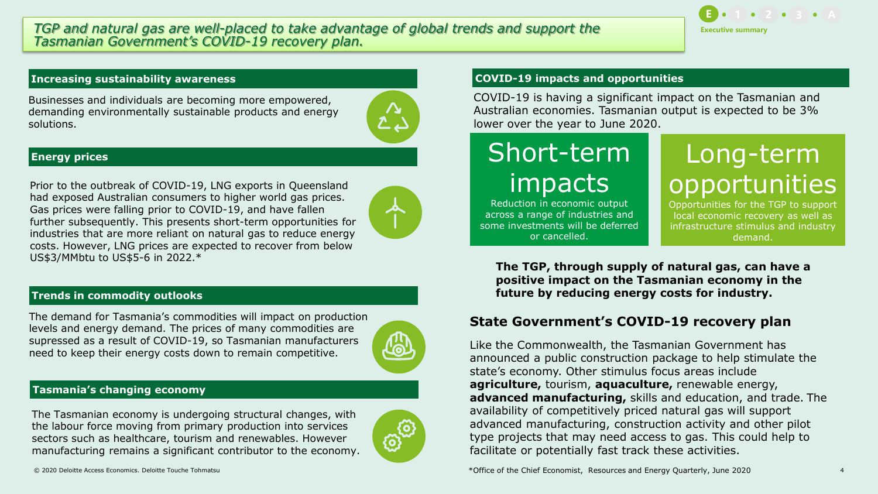*TGP and natural gas are well-placed to take advantage of global trends and support the Tasmanian Government's COVID-19 recovery plan.* 



### **Increasing sustainability awareness**

Businesses and individuals are becoming more empowered, demanding environmentally sustainable products and energy solutions.



### **Energy prices**

Prior to the outbreak of COVID-19, LNG exports in Queensland had exposed Australian consumers to higher world gas prices. Gas prices were falling prior to COVID-19, and have fallen further subsequently. This presents short-term opportunities for industries that are more reliant on natural gas to reduce energy costs. However, LNG prices are expected to recover from below US\$3/MMbtu to US\$5-6 in 2022.\*



# **Trends in commodity outlooks**

The demand for Tasmania's commodities will impact on production levels and energy demand. The prices of many commodities are supressed as a result of COVID-19, so Tasmanian manufacturers need to keep their energy costs down to remain competitive.



### **Tasmania's changing economy**

The Tasmanian economy is undergoing structural changes, with the labour force moving from primary production into services sectors such as healthcare, tourism and renewables. However manufacturing remains a significant contributor to the economy.



### **COVID-19 impacts and opportunities**

COVID-19 is having a significant impact on the Tasmanian and Australian economies. Tasmanian output is expected to be 3% lower over the year to June 2020.

# Short-term impacts

Reduction in economic output across a range of industries and some investments will be deferred or cancelled.

# Long-term opportunities

Opportunities for the TGP to support local economic recovery as well as infrastructure stimulus and industry demand.

**The TGP, through supply of natural gas, can have a positive impact on the Tasmanian economy in the future by reducing energy costs for industry.**

# **State Government's COVID-19 recovery plan**

Like the Commonwealth, the Tasmanian Government has announced a public construction package to help stimulate the state's economy. Other stimulus focus areas include **agriculture,** tourism, **aquaculture,** renewable energy, **advanced manufacturing,** skills and education, and trade. The availability of competitively priced natural gas will support advanced manufacturing, construction activity and other pilot type projects that may need access to gas. This could help to facilitate or potentially fast track these activities.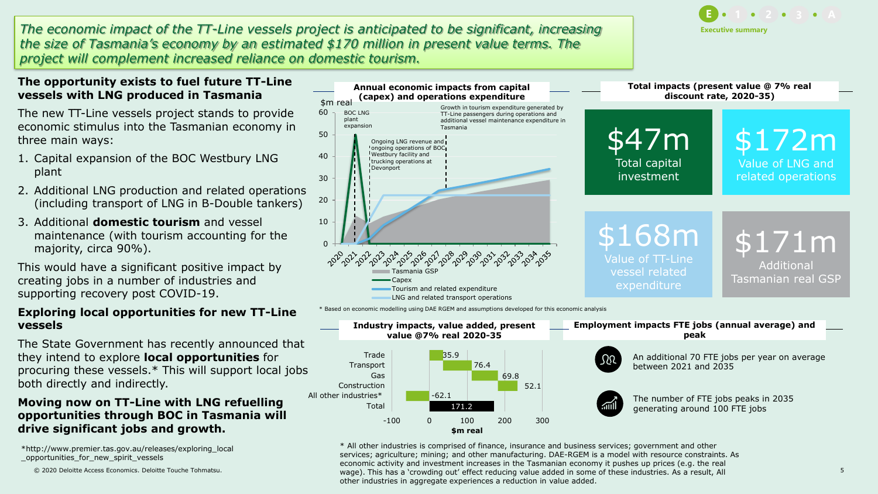**1 2 A Executive summary E 3**

**Total impacts (present value @ 7% real discount rate, 2020-35)**

\$172m

Value of LNG and related operations

\$171m

**Additiona** Tasmanian real GSP

*The economic impact of the TT-Line vessels project is anticipated to be significant, increasing the size of Tasmania's economy by an estimated \$170 million in present value terms. The project will complement increased reliance on domestic tourism.*

**The opportunity exists to fuel future TT-Line vessels with LNG produced in Tasmania**

The new TT-Line vessels project stands to provide economic stimulus into the Tasmanian economy in three main ways:

- 1. Capital expansion of the BOC Westbury LNG plant
- 2. Additional LNG production and related operations (including transport of LNG in B-Double tankers)
- 3. Additional **domestic tourism** and vessel maintenance (with tourism accounting for the majority, circa 90%).

This would have a significant positive impact by creating jobs in a number of industries and supporting recovery post COVID-19.

# **Exploring local opportunities for new TT-Line vessels**

The State Government has recently announced that they intend to explore **local opportunities** for procuring these vessels.\* This will support local jobs both directly and indirectly.

# **Moving now on TT-Line with LNG refuelling opportunities through BOC in Tasmania will drive significant jobs and growth.**

\*http://www.premier.tas.gov.au/releases/exploring\_local opportunities for new spirit vessels



\* Based on economic modelling using DAE RGEM and assumptions developed for this economic analysis



\$168m

Value of TT-Line vessel related expenditure

\$47m

Total capital investment

© 2020 Deloitte Access Economics. Deloitte Touche Tohmatsu. The same of these industries. As a result, All states of these industries. As a result, All states industries. As a result, All states of these industries. As a r \* All other industries is comprised of finance, insurance and business services; government and other services; agriculture; mining; and other manufacturing. DAE-RGEM is a model with resource constraints. As economic activity and investment increases in the Tasmanian economy it pushes up prices (e.g. the real other industries in aggregate experiences a reduction in value added.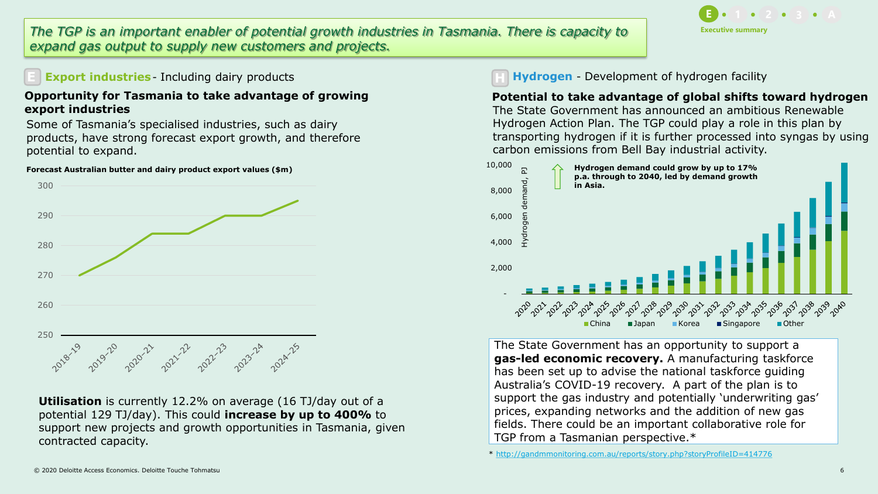250

260

270

280

290

300

# *The TGP is an important enabler of potential growth industries in Tasmania. There is capacity to expand gas output to supply new customers and projects.*

# **Export industries** - Including dairy products

## **Opportunity for Tasmania to take advantage of growing export industries**

Some of Tasmania's specialised industries, such as dairy products, have strong forecast export growth, and therefore potential to expand.

#### **Forecast Australian butter and dairy product export values (\$m)**

# **Utilisation** is currently 12.2% on average (16 TJ/day out of a potential 129 TJ/day). This could **increase by up to 400%** to support new projects and growth opportunities in Tasmania, given contracted capacity.

**H Hydrogen** - Development of hydrogen facility

# **Potential to take advantage of global shifts toward hydrogen**

The State Government has announced an ambitious Renewable Hydrogen Action Plan. The TGP could play a role in this plan by transporting hydrogen if it is further processed into syngas by using carbon emissions from Bell Bay industrial activity.



The State Government has an opportunity to support a **gas-led economic recovery.** A manufacturing taskforce has been set up to advise the national taskforce guiding Australia's COVID-19 recovery. A part of the plan is to support the gas industry and potentially 'underwriting gas' prices, expanding networks and the addition of new gas fields. There could be an important collaborative role for TGP from a Tasmanian perspective.\*

\*<http://gandmmonitoring.com.au/reports/story.php?storyProfileID=414776>